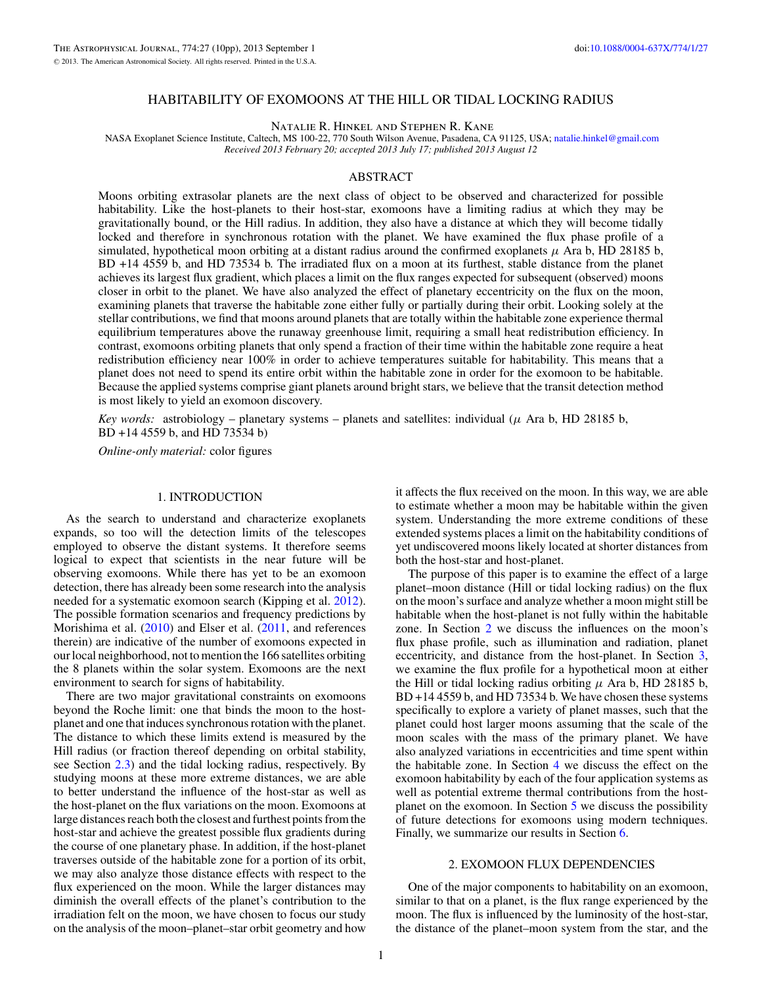### HABITABILITY OF EXOMOONS AT THE HILL OR TIDAL LOCKING RADIUS

Natalie R. Hinkel and Stephen R. Kane

<span id="page-0-0"></span>NASA Exoplanet Science Institute, Caltech, MS 100-22, 770 South Wilson Avenue, Pasadena, CA 91125, USA; [natalie.hinkel@gmail.com](mailto:natalie.hinkel@gmail.com) *Received 2013 February 20; accepted 2013 July 17; published 2013 August 12*

# ABSTRACT

Moons orbiting extrasolar planets are the next class of object to be observed and characterized for possible habitability. Like the host-planets to their host-star, exomoons have a limiting radius at which they may be gravitationally bound, or the Hill radius. In addition, they also have a distance at which they will become tidally locked and therefore in synchronous rotation with the planet. We have examined the flux phase profile of a simulated, hypothetical moon orbiting at a distant radius around the confirmed exoplanets  $\mu$  Ara b, HD 28185 b, BD +14 4559 b, and HD 73534 b. The irradiated flux on a moon at its furthest, stable distance from the planet achieves its largest flux gradient, which places a limit on the flux ranges expected for subsequent (observed) moons closer in orbit to the planet. We have also analyzed the effect of planetary eccentricity on the flux on the moon, examining planets that traverse the habitable zone either fully or partially during their orbit. Looking solely at the stellar contributions, we find that moons around planets that are totally within the habitable zone experience thermal equilibrium temperatures above the runaway greenhouse limit, requiring a small heat redistribution efficiency. In contrast, exomoons orbiting planets that only spend a fraction of their time within the habitable zone require a heat redistribution efficiency near 100% in order to achieve temperatures suitable for habitability. This means that a planet does not need to spend its entire orbit within the habitable zone in order for the exomoon to be habitable. Because the applied systems comprise giant planets around bright stars, we believe that the transit detection method is most likely to yield an exomoon discovery.

*Key words:* astrobiology – planetary systems – planets and satellites: individual ( $\mu$  Ara b, HD 28185 b, BD +14 4559 b, and HD 73534 b)

*Online-only material:* color figures

# 1. INTRODUCTION

As the search to understand and characterize exoplanets expands, so too will the detection limits of the telescopes employed to observe the distant systems. It therefore seems logical to expect that scientists in the near future will be observing exomoons. While there has yet to be an exomoon detection, there has already been some research into the analysis needed for a systematic exomoon search (Kipping et al. [2012\)](#page-9-0). The possible formation scenarios and frequency predictions by Morishima et al. [\(2010\)](#page-9-0) and Elser et al. [\(2011,](#page-9-0) and references therein) are indicative of the number of exomoons expected in our local neighborhood, not to mention the 166 satellites orbiting the 8 planets within the solar system. Exomoons are the next environment to search for signs of habitability.

There are two major gravitational constraints on exomoons beyond the Roche limit: one that binds the moon to the hostplanet and one that induces synchronous rotation with the planet. The distance to which these limits extend is measured by the Hill radius (or fraction thereof depending on orbital stability, see Section [2.3\)](#page-2-0) and the tidal locking radius, respectively. By studying moons at these more extreme distances, we are able to better understand the influence of the host-star as well as the host-planet on the flux variations on the moon. Exomoons at large distances reach both the closest and furthest points from the host-star and achieve the greatest possible flux gradients during the course of one planetary phase. In addition, if the host-planet traverses outside of the habitable zone for a portion of its orbit, we may also analyze those distance effects with respect to the flux experienced on the moon. While the larger distances may diminish the overall effects of the planet's contribution to the irradiation felt on the moon, we have chosen to focus our study on the analysis of the moon–planet–star orbit geometry and how

it affects the flux received on the moon. In this way, we are able to estimate whether a moon may be habitable within the given system. Understanding the more extreme conditions of these extended systems places a limit on the habitability conditions of yet undiscovered moons likely located at shorter distances from both the host-star and host-planet.

The purpose of this paper is to examine the effect of a large planet–moon distance (Hill or tidal locking radius) on the flux on the moon's surface and analyze whether a moon might still be habitable when the host-planet is not fully within the habitable zone. In Section 2 we discuss the influences on the moon's flux phase profile, such as illumination and radiation, planet eccentricity, and distance from the host-planet. In Section [3,](#page-3-0) we examine the flux profile for a hypothetical moon at either the Hill or tidal locking radius orbiting *μ* Ara b, HD 28185 b, BD +14 4559 b, and HD 73534 b. We have chosen these systems specifically to explore a variety of planet masses, such that the planet could host larger moons assuming that the scale of the moon scales with the mass of the primary planet. We have also analyzed variations in eccentricities and time spent within the habitable zone. In Section [4](#page-6-0) we discuss the effect on the exomoon habitability by each of the four application systems as well as potential extreme thermal contributions from the hostplanet on the exomoon. In Section [5](#page-8-0) we discuss the possibility of future detections for exomoons using modern techniques. Finally, we summarize our results in Section [6.](#page-8-0)

### 2. EXOMOON FLUX DEPENDENCIES

One of the major components to habitability on an exomoon, similar to that on a planet, is the flux range experienced by the moon. The flux is influenced by the luminosity of the host-star, the distance of the planet–moon system from the star, and the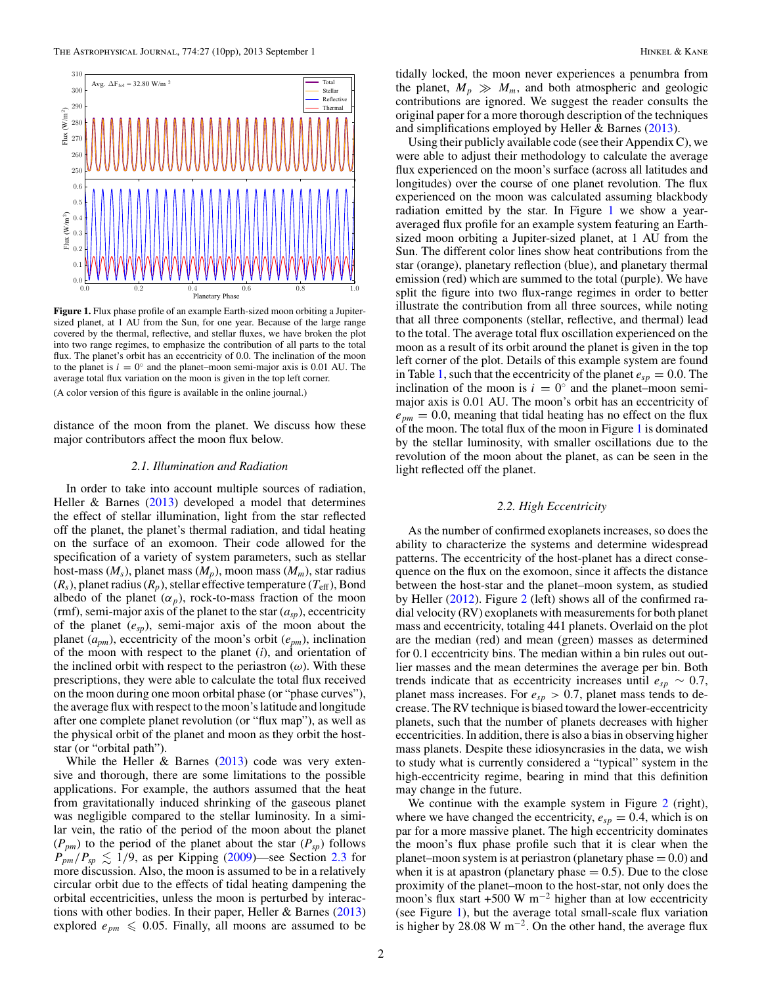0*.*1  $\check{\mathbb{E}}_{0.2}$ 0*.*3  $0.$ 0*.*5 0*.*6

Flux  $(W/m^2)$ 

 $(W/m<sup>2</sup>)$ 

Flux  $(W/m^2)$ 

Flux (W/m<sup>2</sup>)

<span id="page-1-0"></span>

0*.*0 0*.*2 0*.*4 0*.*6 0*.*8 1*.*0 Planetary Phase 0*.*0 **Figure 1.** Flux phase profile of an example Earth-sized moon orbiting a Jupitersized planet, at 1 AU from the Sun, for one year. Because of the large range covered by the thermal, reflective, and stellar fluxes, we have broken the plot into two range regimes, to emphasize the contribution of all parts to the total flux. The planet's orbit has an eccentricity of 0.0. The inclination of the moon to the planet is  $i = 0^\circ$  and the planet–moon semi-major axis is 0.01 AU. The average total flux variation on the moon is given in the top left corner. (A color version of this figure is available in the online journal.)

distance of the moon from the planet. We discuss how these major contributors affect the moon flux below.

#### *2.1. Illumination and Radiation*

In order to take into account multiple sources of radiation, Heller  $\&$  Barnes [\(2013\)](#page-9-0) developed a model that determines the effect of stellar illumination, light from the star reflected off the planet, the planet's thermal radiation, and tidal heating on the surface of an exomoon. Their code allowed for the specification of a variety of system parameters, such as stellar host-mass  $(M_s)$ , planet mass  $(M_p)$ , moon mass  $(M_m)$ , star radius  $(R_s)$ , planet radius  $(R_p)$ , stellar effective temperature  $(T_{\text{eff}})$ , Bond albedo of the planet  $(\alpha_p)$ , rock-to-mass fraction of the moon (rmf), semi-major axis of the planet to the star  $(a_{sp})$ , eccentricity of the planet (*esp*), semi-major axis of the moon about the planet (*apm*), eccentricity of the moon's orbit (*epm*), inclination of the moon with respect to the planet (*i*), and orientation of the inclined orbit with respect to the periastron  $(\omega)$ . With these prescriptions, they were able to calculate the total flux received on the moon during one moon orbital phase (or "phase curves"), the average flux with respect to the moon's latitude and longitude after one complete planet revolution (or "flux map"), as well as the physical orbit of the planet and moon as they orbit the hoststar (or "orbital path").

While the Heller  $\&$  Barnes [\(2013\)](#page-9-0) code was very extensive and thorough, there are some limitations to the possible applications. For example, the authors assumed that the heat from gravitationally induced shrinking of the gaseous planet was negligible compared to the stellar luminosity. In a similar vein, the ratio of the period of the moon about the planet  $(P_{pm})$  to the period of the planet about the star  $(P_{sp})$  follows  $P_{pm}/P_{sp} \lesssim 1/9$ , as per Kipping [\(2009\)](#page-9-0)—see Section [2.3](#page-2-0) for more discussion. Also, the moon is assumed to be in a relatively circular orbit due to the effects of tidal heating dampening the orbital eccentricities, unless the moon is perturbed by interactions with other bodies. In their paper, Heller & Barnes [\(2013\)](#page-9-0) explored  $e_{nm} \leq 0.05$ . Finally, all moons are assumed to be

tidally locked, the moon never experiences a penumbra from the planet,  $M_p \gg M_m$ , and both atmospheric and geologic contributions are ignored. We suggest the reader consults the original paper for a more thorough description of the techniques and simplifications employed by Heller & Barnes [\(2013\)](#page-9-0).

Using their publicly available code (see their Appendix C), we were able to adjust their methodology to calculate the average flux experienced on the moon's surface (across all latitudes and longitudes) over the course of one planet revolution. The flux experienced on the moon was calculated assuming blackbody radiation emitted by the star. In Figure 1 we show a yearaveraged flux profile for an example system featuring an Earthsized moon orbiting a Jupiter-sized planet, at 1 AU from the Sun. The different color lines show heat contributions from the star (orange), planetary reflection (blue), and planetary thermal emission (red) which are summed to the total (purple). We have split the figure into two flux-range regimes in order to better illustrate the contribution from all three sources, while noting that all three components (stellar, reflective, and thermal) lead to the total. The average total flux oscillation experienced on the moon as a result of its orbit around the planet is given in the top left corner of the plot. Details of this example system are found in Table [1,](#page-3-0) such that the eccentricity of the planet  $e_{sp} = 0.0$ . The inclination of the moon is  $i = 0^\circ$  and the planet–moon semimajor axis is 0.01 AU. The moon's orbit has an eccentricity of  $e_{pm} = 0.0$ , meaning that tidal heating has no effect on the flux of the moon. The total flux of the moon in Figure 1 is dominated by the stellar luminosity, with smaller oscillations due to the revolution of the moon about the planet, as can be seen in the light reflected off the planet.

# *2.2. High Eccentricity*

As the number of confirmed exoplanets increases, so does the ability to characterize the systems and determine widespread patterns. The eccentricity of the host-planet has a direct consequence on the flux on the exomoon, since it affects the distance between the host-star and the planet–moon system, as studied by Heller [\(2012\)](#page-9-0). Figure [2](#page-2-0) (left) shows all of the confirmed radial velocity (RV) exoplanets with measurements for both planet mass and eccentricity, totaling 441 planets. Overlaid on the plot are the median (red) and mean (green) masses as determined for 0.1 eccentricity bins. The median within a bin rules out outlier masses and the mean determines the average per bin. Both trends indicate that as eccentricity increases until  $e_{sp} \sim 0.7$ , planet mass increases. For  $e_{sp} > 0.7$ , planet mass tends to decrease. The RV technique is biased toward the lower-eccentricity planets, such that the number of planets decreases with higher eccentricities. In addition, there is also a bias in observing higher mass planets. Despite these idiosyncrasies in the data, we wish to study what is currently considered a "typical" system in the high-eccentricity regime, bearing in mind that this definition may change in the future.

We continue with the example system in Figure [2](#page-2-0) (right), where we have changed the eccentricity,  $e_{sp} = 0.4$ , which is on par for a more massive planet. The high eccentricity dominates the moon's flux phase profile such that it is clear when the planet–moon system is at periastron (planetary phase  $= 0.0$ ) and when it is at apastron (planetary phase  $= 0.5$ ). Due to the close proximity of the planet–moon to the host-star, not only does the moon's flux start +500 W m<sup>-2</sup> higher than at low eccentricity (see Figure 1), but the average total small-scale flux variation is higher by 28.08 W m<sup>-2</sup>. On the other hand, the average flux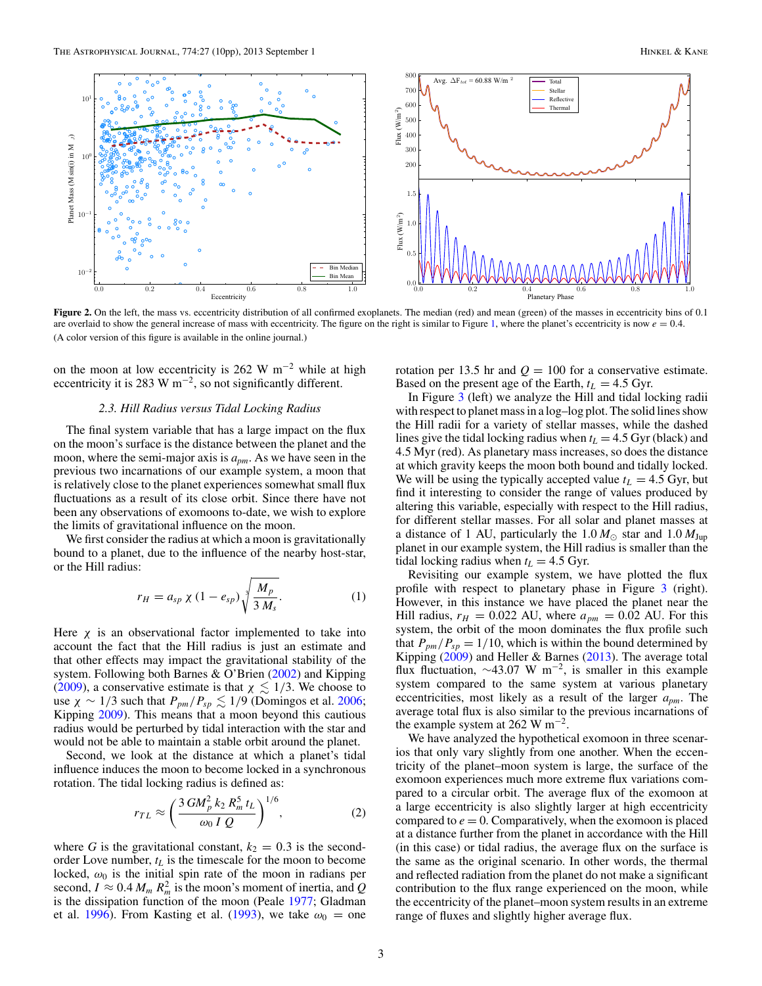<span id="page-2-0"></span>

**Figure 2.** On the left, the mass vs. eccentricity distribution of all confirmed exoplanets. The median (red) and mean (green) of the masses in eccentricity bins of 0.1 are overlaid to show the general increase of mass with eccentricity. The figure on the right is similar to Figure [1,](#page-1-0) where the planet's eccentricity is now  $e = 0.4$ . (A color version of this figure is available in the online journal.)

on the moon at low eccentricity is 262 W m<sup>-2</sup> while at high eccentricity it is 283 W m<sup>-2</sup>, so not significantly different.

# *2.3. Hill Radius versus Tidal Locking Radius*

The final system variable that has a large impact on the flux on the moon's surface is the distance between the planet and the moon, where the semi-major axis is *apm*. As we have seen in the previous two incarnations of our example system, a moon that is relatively close to the planet experiences somewhat small flux fluctuations as a result of its close orbit. Since there have not been any observations of exomoons to-date, we wish to explore the limits of gravitational influence on the moon.

We first consider the radius at which a moon is gravitationally bound to a planet, due to the influence of the nearby host-star, or the Hill radius:

$$
r_H = a_{sp} \chi (1 - e_{sp}) \sqrt[3]{\frac{M_p}{3 M_s}}.
$$
 (1)

Here  $\chi$  is an observational factor implemented to take into account the fact that the Hill radius is just an estimate and that other effects may impact the gravitational stability of the system. Following both Barnes & O'Brien [\(2002\)](#page-9-0) and Kipping [\(2009\)](#page-9-0), a conservative estimate is that  $\chi \lesssim 1/3$ . We choose to use  $\chi \sim 1/3$  such that  $P_{pm}/P_{sp} \lesssim 1/9$  (Domingos et al. [2006;](#page-9-0) Kipping [2009\)](#page-9-0). This means that a moon beyond this cautious radius would be perturbed by tidal interaction with the star and would not be able to maintain a stable orbit around the planet.

Second, we look at the distance at which a planet's tidal influence induces the moon to become locked in a synchronous rotation. The tidal locking radius is defined as:

$$
r_{TL} \approx \left(\frac{3\,GM_p^2\,k_2\,R_m^5\,t_L}{\omega_0\,I\,Q}\right)^{1/6},\tag{2}
$$

where *G* is the gravitational constant,  $k_2 = 0.3$  is the secondorder Love number,  $t_L$  is the timescale for the moon to become locked,  $\omega_0$  is the initial spin rate of the moon in radians per second,  $I \approx 0.4 M_m R_m^2$  is the moon's moment of inertia, and *Q* is the dissipation function of the moon (Peale [1977;](#page-9-0) Gladman et al. [1996\)](#page-9-0). From Kasting et al. [\(1993\)](#page-9-0), we take  $\omega_0 =$  one rotation per 13.5 hr and  $Q = 100$  for a conservative estimate. Based on the present age of the Earth,  $t_L = 4.5$  Gyr.

In Figure [3](#page-3-0) (left) we analyze the Hill and tidal locking radii with respect to planet mass in a log–log plot. The solid lines show the Hill radii for a variety of stellar masses, while the dashed lines give the tidal locking radius when  $t_L = 4.5$  Gyr (black) and 4.5 Myr (red). As planetary mass increases, so does the distance at which gravity keeps the moon both bound and tidally locked. We will be using the typically accepted value  $t_L = 4.5$  Gyr, but find it interesting to consider the range of values produced by altering this variable, especially with respect to the Hill radius, for different stellar masses. For all solar and planet masses at a distance of 1 AU, particularly the  $1.0 M_{\odot}$  star and  $1.0 M_{\text{Jup}}$ planet in our example system, the Hill radius is smaller than the tidal locking radius when  $t_L = 4.5$  Gyr.

Revisiting our example system, we have plotted the flux profile with respect to planetary phase in Figure [3](#page-3-0) (right). However, in this instance we have placed the planet near the Hill radius,  $r_H = 0.022$  AU, where  $a_{pm} = 0.02$  AU. For this system, the orbit of the moon dominates the flux profile such that  $P_{pm}/P_{sp} = 1/10$ , which is within the bound determined by Kipping  $(2009)$  and Heller & Barnes  $(2013)$ . The average total flux fluctuation, <sup>∼</sup>43.07 W m−2, is smaller in this example system compared to the same system at various planetary eccentricities, most likely as a result of the larger *apm*. The average total flux is also similar to the previous incarnations of the example system at 262 W  $\mathrm{m}^{-2}$ .

We have analyzed the hypothetical exomoon in three scenarios that only vary slightly from one another. When the eccentricity of the planet–moon system is large, the surface of the exomoon experiences much more extreme flux variations compared to a circular orbit. The average flux of the exomoon at a large eccentricity is also slightly larger at high eccentricity compared to  $e = 0$ . Comparatively, when the exomoon is placed at a distance further from the planet in accordance with the Hill (in this case) or tidal radius, the average flux on the surface is the same as the original scenario. In other words, the thermal and reflected radiation from the planet do not make a significant contribution to the flux range experienced on the moon, while the eccentricity of the planet–moon system results in an extreme range of fluxes and slightly higher average flux.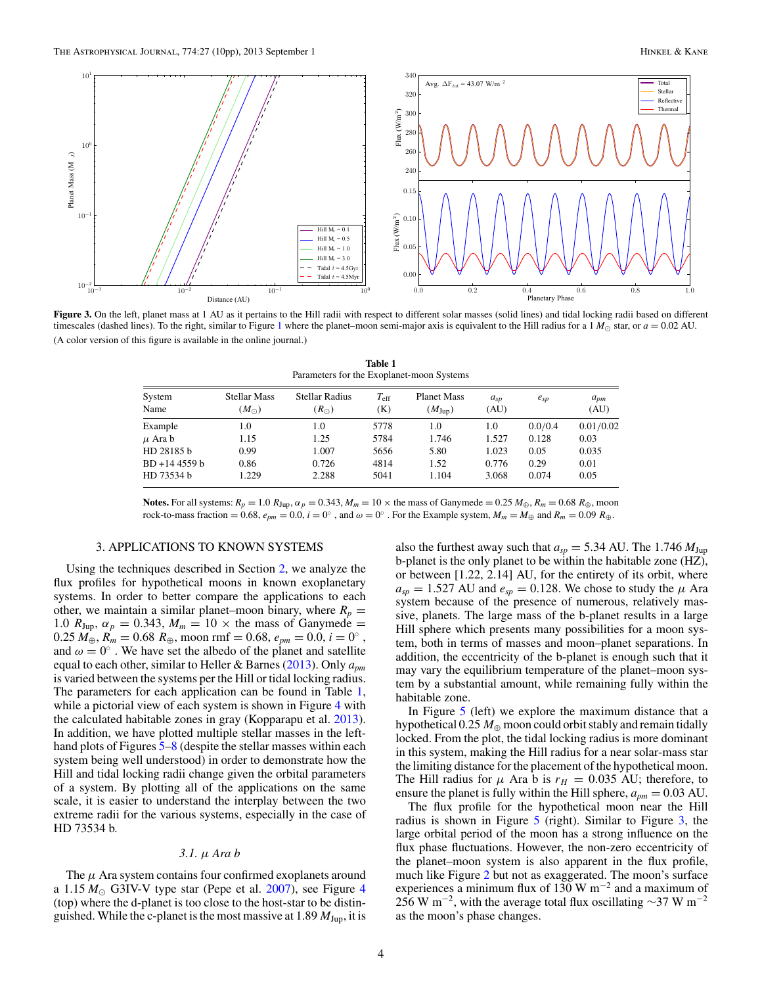<span id="page-3-0"></span>

Figure 3. On the left, planet mass at 1 AU as it pertains to the Hill radii with respect to different solar masses (solid lines) and tidal locking radii based on different timescales (dashed lines). To the right, similar to Figure [1](#page-1-0) where the planet–moon semi-major axis is equivalent to the Hill radius for a 1  $M_{\odot}$  star, or  $a = 0.02$  AU. (A color version of this figure is available in the online journal.)

| Faranciers for the exoplanci-moon systems |                                      |                                        |                      |                                   |                  |               |                  |  |  |  |
|-------------------------------------------|--------------------------------------|----------------------------------------|----------------------|-----------------------------------|------------------|---------------|------------------|--|--|--|
| System<br>Name                            | <b>Stellar Mass</b><br>$(M_{\odot})$ | <b>Stellar Radius</b><br>$(R_{\odot})$ | $T_{\rm eff}$<br>(K) | <b>Planet Mass</b><br>$(M_{Jup})$ | $a_{sp}$<br>(AU) | $e_{sp}$      | $a_{pm}$<br>(AU) |  |  |  |
| Example                                   | 1.0                                  | 1.0                                    | 5778                 | 1.0                               | 1.0              | 0.0/0.4       | 0.01/0.02        |  |  |  |
| $\mu$ Ara b                               | 1.15                                 | 1.25                                   | 5784                 | 1.746                             | 1.527            | 0.128         | 0.03             |  |  |  |
| HD 28185 b                                | 0.99                                 | 1.007                                  | 5656                 | 5.80                              | 1.023            | 0.05          | 0.035            |  |  |  |
| BD +14 4559 b<br>HD 73534 b               | 0.86<br>1.229                        | 0.726<br>2.288                         | 4814<br>5041         | 1.52<br>1.104                     | 0.776<br>3.068   | 0.29<br>0.074 | 0.01<br>0.05     |  |  |  |
|                                           |                                      |                                        |                      |                                   |                  |               |                  |  |  |  |

**Table 1** Parameters for the Exoplanet-moon Systems

**Notes.** For all systems:  $R_p = 1.0 R_{\text{Jup}}$ ,  $\alpha_p = 0.343$ ,  $M_m = 10 \times$  the mass of Ganymede = 0.25  $M_{\oplus}$ ,  $R_m = 0.68 R_{\oplus}$ , moon rock-to-mass fraction = 0.68,  $e_{pm}$  = 0.0,  $i = 0^\circ$ , and  $\omega = 0^\circ$ . For the Example system,  $M_m = M_\oplus$  and  $R_m = 0.09 R_\oplus$ .

# 3. APPLICATIONS TO KNOWN SYSTEMS

Using the techniques described in Section [2,](#page-0-0) we analyze the flux profiles for hypothetical moons in known exoplanetary systems. In order to better compare the applications to each other, we maintain a similar planet–moon binary, where  $R_p =$ 1.0  $R_{Jup}$ ,  $\alpha_p = 0.343$ ,  $M_m = 10 \times$  the mass of Ganymede =  $0.25 M_{\oplus}$ ,  $R_m = 0.68 R_{\oplus}$ , moon rmf = 0.68,  $e_{pm} = 0.0$ ,  $i = 0^\circ$ , and  $\omega = 0^\circ$ . We have set the albedo of the planet and satellite equal to each other, similar to Heller & Barnes [\(2013\)](#page-9-0). Only *apm* is varied between the systems per the Hill or tidal locking radius. The parameters for each application can be found in Table 1, while a pictorial view of each system is shown in Figure [4](#page-4-0) with the calculated habitable zones in gray (Kopparapu et al. [2013\)](#page-9-0). In addition, we have plotted multiple stellar masses in the left-hand plots of Figures [5–](#page-5-0)[8](#page-6-0) (despite the stellar masses within each system being well understood) in order to demonstrate how the Hill and tidal locking radii change given the orbital parameters of a system. By plotting all of the applications on the same scale, it is easier to understand the interplay between the two extreme radii for the various systems, especially in the case of HD 73534 b.

#### *3.1. μ Ara b*

The *μ* Ara system contains four confirmed exoplanets around a  $1.15 M_{\odot}$  G3IV-V type star (Pepe et al. [2007\)](#page-9-0), see Figure [4](#page-4-0) (top) where the d-planet is too close to the host-star to be distinguished. While the c-planet is the most massive at 1.89 *M*Jup, it is

also the furthest away such that  $a_{sp} = 5.34$  AU. The 1.746  $M_{Jup}$ b-planet is the only planet to be within the habitable zone (HZ), or between [1.22, 2.14] AU, for the entirety of its orbit, where  $a_{sp} = 1.527$  AU and  $e_{sp} = 0.128$ . We chose to study the  $\mu$  Ara system because of the presence of numerous, relatively massive, planets. The large mass of the b-planet results in a large Hill sphere which presents many possibilities for a moon system, both in terms of masses and moon–planet separations. In addition, the eccentricity of the b-planet is enough such that it may vary the equilibrium temperature of the planet–moon system by a substantial amount, while remaining fully within the habitable zone.

In Figure [5](#page-5-0) (left) we explore the maximum distance that a hypothetical  $0.25 M_{\oplus}$  moon could orbit stably and remain tidally locked. From the plot, the tidal locking radius is more dominant in this system, making the Hill radius for a near solar-mass star the limiting distance for the placement of the hypothetical moon. The Hill radius for  $\mu$  Ara b is  $r_H = 0.035$  AU; therefore, to ensure the planet is fully within the Hill sphere,  $a_{pm} = 0.03$  AU.

The flux profile for the hypothetical moon near the Hill radius is shown in Figure  $5$  (right). Similar to Figure  $3$ , the large orbital period of the moon has a strong influence on the flux phase fluctuations. However, the non-zero eccentricity of the planet–moon system is also apparent in the flux profile, much like Figure [2](#page-2-0) but not as exaggerated. The moon's surface experiences a minimum flux of 130 W m<sup>-2</sup> and a maximum of 256 W m<sup>-2</sup>, with the average total flux oscillating ~37 W m<sup>-2</sup> as the moon's phase changes.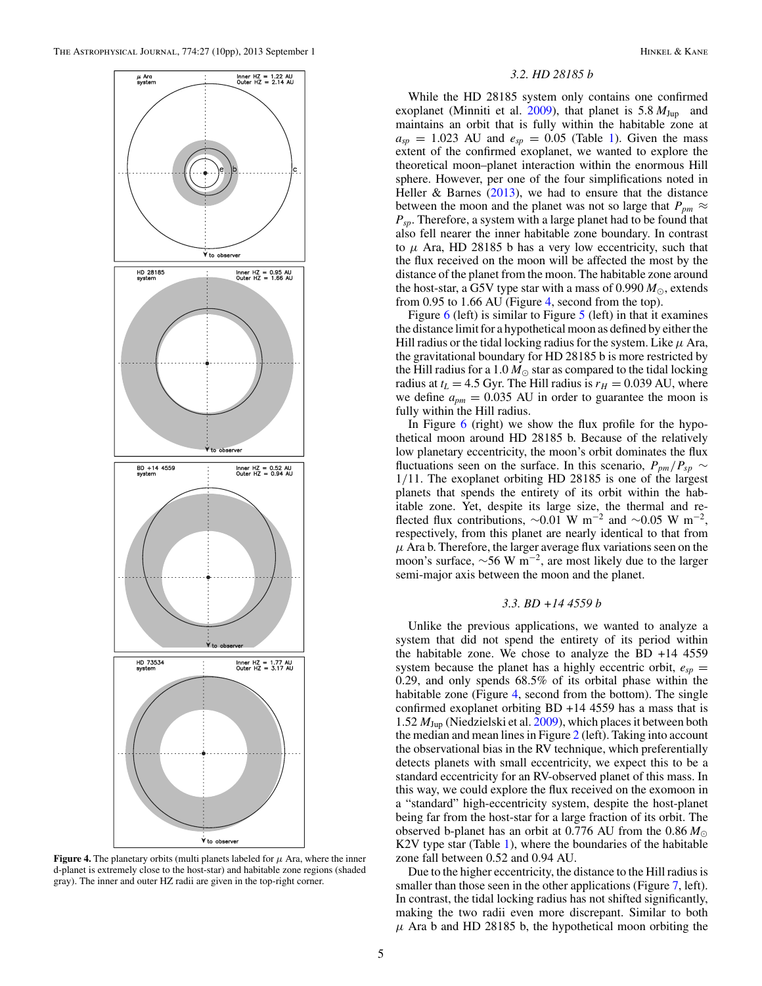<span id="page-4-0"></span>

**Figure 4.** The planetary orbits (multi planets labeled for  $\mu$  Ara, where the inner d-planet is extremely close to the host-star) and habitable zone regions (shaded gray). The inner and outer HZ radii are given in the top-right corner.

### *3.2. HD 28185 b*

While the HD 28185 system only contains one confirmed exoplanet (Minniti et al. [2009\)](#page-9-0), that planet is  $5.8 M_{Jup}$  and maintains an orbit that is fully within the habitable zone at  $a_{sp} = 1.023$  AU and  $e_{sp} = 0.05$  (Table [1\)](#page-3-0). Given the mass extent of the confirmed exoplanet, we wanted to explore the theoretical moon–planet interaction within the enormous Hill sphere. However, per one of the four simplifications noted in Heller & Barnes  $(2013)$ , we had to ensure that the distance between the moon and the planet was not so large that  $P_{pm} \approx$ *Psp*. Therefore, a system with a large planet had to be found that also fell nearer the inner habitable zone boundary. In contrast to  $\mu$  Ara, HD 28185 b has a very low eccentricity, such that the flux received on the moon will be affected the most by the distance of the planet from the moon. The habitable zone around the host-star, a G5V type star with a mass of 0.990  $M_{\odot}$ , extends from 0.95 to 1.66 AU (Figure 4, second from the top).

Figure [6](#page-5-0) (left) is similar to Figure [5](#page-5-0) (left) in that it examines the distance limit for a hypothetical moon as defined by either the Hill radius or the tidal locking radius for the system. Like  $\mu$  Ara, the gravitational boundary for HD 28185 b is more restricted by the Hill radius for a 1.0  $M_{\odot}$  star as compared to the tidal locking radius at  $t_L = 4.5$  Gyr. The Hill radius is  $r_H = 0.039$  AU, where we define  $a_{pm} = 0.035$  AU in order to guarantee the moon is fully within the Hill radius.

In Figure  $6$  (right) we show the flux profile for the hypothetical moon around HD 28185 b. Because of the relatively low planetary eccentricity, the moon's orbit dominates the flux fluctuations seen on the surface. In this scenario,  $P_{pm}/P_{sp} \sim$ 1*/*11. The exoplanet orbiting HD 28185 is one of the largest planets that spends the entirety of its orbit within the habitable zone. Yet, despite its large size, the thermal and reflected flux contributions,  $\sim 0.01 \text{ W m}^{-2}$  and  $\sim 0.05 \text{ W m}^{-2}$ , respectively, from this planet are nearly identical to that from  $\mu$  Ara b. Therefore, the larger average flux variations seen on the moon's surface,  $\sim$ 56 W m<sup>-2</sup>, are most likely due to the larger semi-major axis between the moon and the planet.

#### *3.3. BD +14 4559 b*

Unlike the previous applications, we wanted to analyze a system that did not spend the entirety of its period within the habitable zone. We chose to analyze the BD +14 4559 system because the planet has a highly eccentric orbit,  $e_{sp}$  = 0.29, and only spends 68.5% of its orbital phase within the habitable zone (Figure 4, second from the bottom). The single confirmed exoplanet orbiting BD +14 4559 has a mass that is 1.52 *M*Jup (Niedzielski et al. [2009\)](#page-9-0), which places it between both the median and mean lines in Figure [2](#page-2-0) (left). Taking into account the observational bias in the RV technique, which preferentially detects planets with small eccentricity, we expect this to be a standard eccentricity for an RV-observed planet of this mass. In this way, we could explore the flux received on the exomoon in a "standard" high-eccentricity system, despite the host-planet being far from the host-star for a large fraction of its orbit. The observed b-planet has an orbit at 0.776 AU from the 0.86 *M* K2V type star (Table [1\)](#page-3-0), where the boundaries of the habitable zone fall between 0.52 and 0.94 AU.

Due to the higher eccentricity, the distance to the Hill radius is smaller than those seen in the other applications (Figure [7,](#page-5-0) left). In contrast, the tidal locking radius has not shifted significantly, making the two radii even more discrepant. Similar to both  $\mu$  Ara b and HD 28185 b, the hypothetical moon orbiting the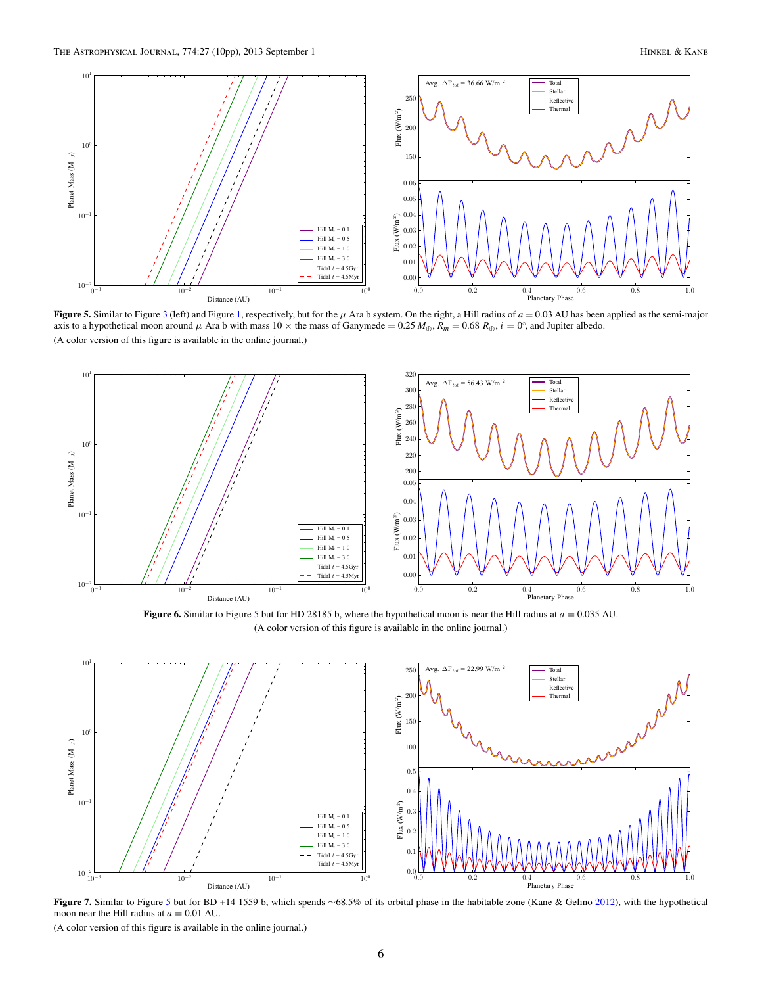<span id="page-5-0"></span>

**Figure 5.** Similar to Figure [3](#page-3-0) (left) and Figure [1,](#page-1-0) respectively, but for the  $\mu$  Ara b system. On the right, a Hill radius of  $a = 0.03$  AU has been applied as the semi-major axis to a hypothetical moon around  $\mu$  Ara b with mass  $10 \times$  the mass of Ganymede = 0.25  $M_{\oplus}$ ,  $R_m = 0.68 R_{\oplus}$ ,  $i = 0^{\circ}$ , and Jupiter albedo. (A color version of this figure is available in the online journal.)



**Figure 6.** Similar to Figure 5 but for HD 28185 b, where the hypothetical moon is near the Hill radius at  $a = 0.035$  AU. (A color version of this figure is available in the online journal.)



**Figure 7.** Similar to Figure 5 but for BD +14 1559 b, which spends ∼68.5% of its orbital phase in the habitable zone (Kane & Gelino [2012\)](#page-9-0), with the hypothetical moon near the Hill radius at  $a = 0.01$  AU.

(A color version of this figure is available in the online journal.)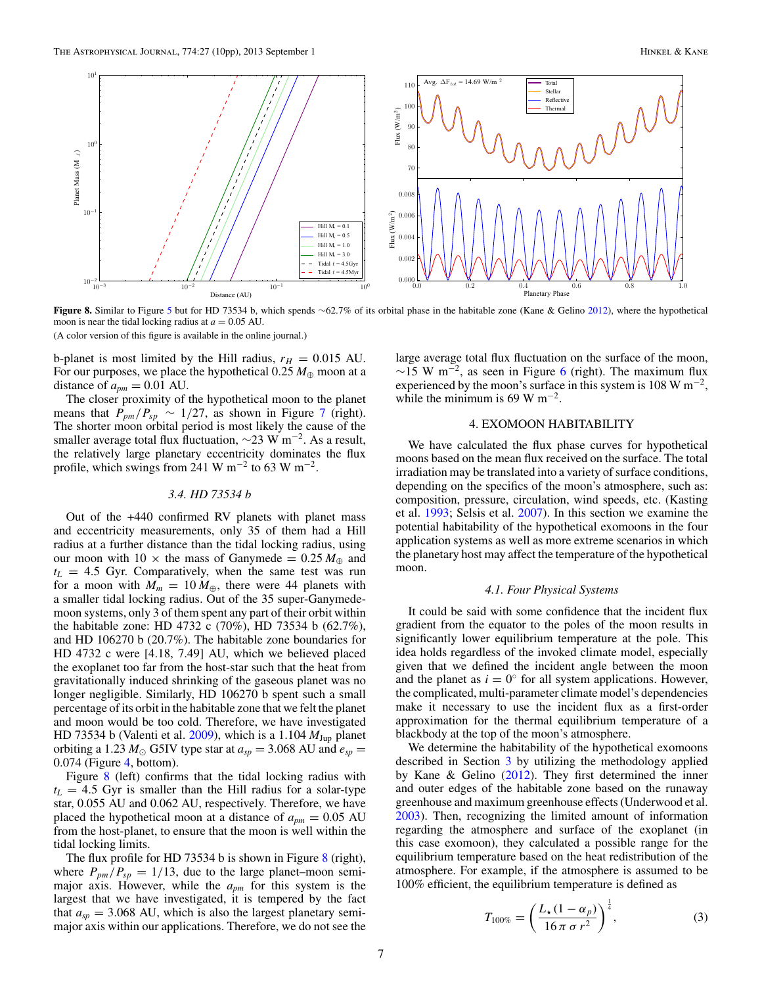<span id="page-6-0"></span>

**Figure 8.** Similar to Figure [5](#page-5-0) but for HD 73534 b, which spends ∼62.7% of its orbital phase in the habitable zone (Kane & Gelino [2012\)](#page-9-0), where the hypothetical moon is near the tidal locking radius at  $a = 0.05$  AU.

(A color version of this figure is available in the online journal.)

b-planet is most limited by the Hill radius,  $r_H = 0.015$  AU. For our purposes, we place the hypothetical  $0.25 M_{\oplus}$  moon at a distance of  $a_{pm} = 0.01$  AU.

The closer proximity of the hypothetical moon to the planet means that  $\hat{P}_{pm}/P_{sp} \sim 1/27$  $\hat{P}_{pm}/P_{sp} \sim 1/27$ , as shown in Figure 7 (right). The shorter moon orbital period is most likely the cause of the smaller average total flux fluctuation,  $\sim$ 23 W m<sup>-2</sup>. As a result, the relatively large planetary eccentricity dominates the flux profile, which swings from 241 W m<sup>-2</sup> to 63 W m<sup>-2</sup>.

# *3.4. HD 73534 b*

Out of the +440 confirmed RV planets with planet mass and eccentricity measurements, only 35 of them had a Hill radius at a further distance than the tidal locking radius, using our moon with 10  $\times$  the mass of Ganymede = 0.25  $M_{\oplus}$  and  $t_L$  = 4.5 Gyr. Comparatively, when the same test was run for a moon with  $M_m = 10 M_{\oplus}$ , there were 44 planets with a smaller tidal locking radius. Out of the 35 super-Ganymedemoon systems, only 3 of them spent any part of their orbit within the habitable zone: HD 4732 c (70%), HD 73534 b (62.7%), and HD 106270 b (20.7%). The habitable zone boundaries for HD 4732 c were [4.18, 7.49] AU, which we believed placed the exoplanet too far from the host-star such that the heat from gravitationally induced shrinking of the gaseous planet was no longer negligible. Similarly, HD 106270 b spent such a small percentage of its orbit in the habitable zone that we felt the planet and moon would be too cold. Therefore, we have investigated HD 73534 b (Valenti et al. [2009\)](#page-9-0), which is a 1.104 *M*Jup planet orbiting a 1.23  $M_{\odot}$  G5IV type star at  $a_{sp} = 3.068$  AU and  $e_{sp} =$ 0.074 (Figure [4,](#page-4-0) bottom).

Figure 8 (left) confirms that the tidal locking radius with  $t_L$  = 4.5 Gyr is smaller than the Hill radius for a solar-type star, 0.055 AU and 0.062 AU, respectively. Therefore, we have placed the hypothetical moon at a distance of  $a_{pm} = 0.05$  AU from the host-planet, to ensure that the moon is well within the tidal locking limits.

The flux profile for HD 73534 b is shown in Figure  $8$  (right), where  $P_{pm}/P_{sp} = 1/13$ , due to the large planet–moon semimajor axis. However, while the *apm* for this system is the largest that we have investigated, it is tempered by the fact that  $a_{sp} = 3.068$  AU, which is also the largest planetary semimajor axis within our applications. Therefore, we do not see the large average total flux fluctuation on the surface of the moon,  $\sim$ 15 W m<sup>-2</sup>, as seen in Figure [6](#page-5-0) (right). The maximum flux experienced by the moon's surface in this system is 108 W  $\mathrm{m}^{-2}$ , while the minimum is 69 W m<sup>-2</sup>.

### 4. EXOMOON HABITABILITY

We have calculated the flux phase curves for hypothetical moons based on the mean flux received on the surface. The total irradiation may be translated into a variety of surface conditions, depending on the specifics of the moon's atmosphere, such as: composition, pressure, circulation, wind speeds, etc. (Kasting et al. [1993;](#page-9-0) Selsis et al. [2007\)](#page-9-0). In this section we examine the potential habitability of the hypothetical exomoons in the four application systems as well as more extreme scenarios in which the planetary host may affect the temperature of the hypothetical moon.

#### *4.1. Four Physical Systems*

It could be said with some confidence that the incident flux gradient from the equator to the poles of the moon results in significantly lower equilibrium temperature at the pole. This idea holds regardless of the invoked climate model, especially given that we defined the incident angle between the moon and the planet as  $i = 0^\circ$  for all system applications. However, the complicated, multi-parameter climate model's dependencies make it necessary to use the incident flux as a first-order approximation for the thermal equilibrium temperature of a blackbody at the top of the moon's atmosphere.

We determine the habitability of the hypothetical exomoons described in Section [3](#page-3-0) by utilizing the methodology applied by Kane & Gelino  $(2012)$ . They first determined the inner and outer edges of the habitable zone based on the runaway greenhouse and maximum greenhouse effects (Underwood et al. [2003\)](#page-9-0). Then, recognizing the limited amount of information regarding the atmosphere and surface of the exoplanet (in this case exomoon), they calculated a possible range for the equilibrium temperature based on the heat redistribution of the atmosphere. For example, if the atmosphere is assumed to be 100% efficient, the equilibrium temperature is defined as

$$
T_{100\%} = \left(\frac{L_{\star} (1 - \alpha_p)}{16 \pi \sigma r^2}\right)^{\frac{1}{4}},\tag{3}
$$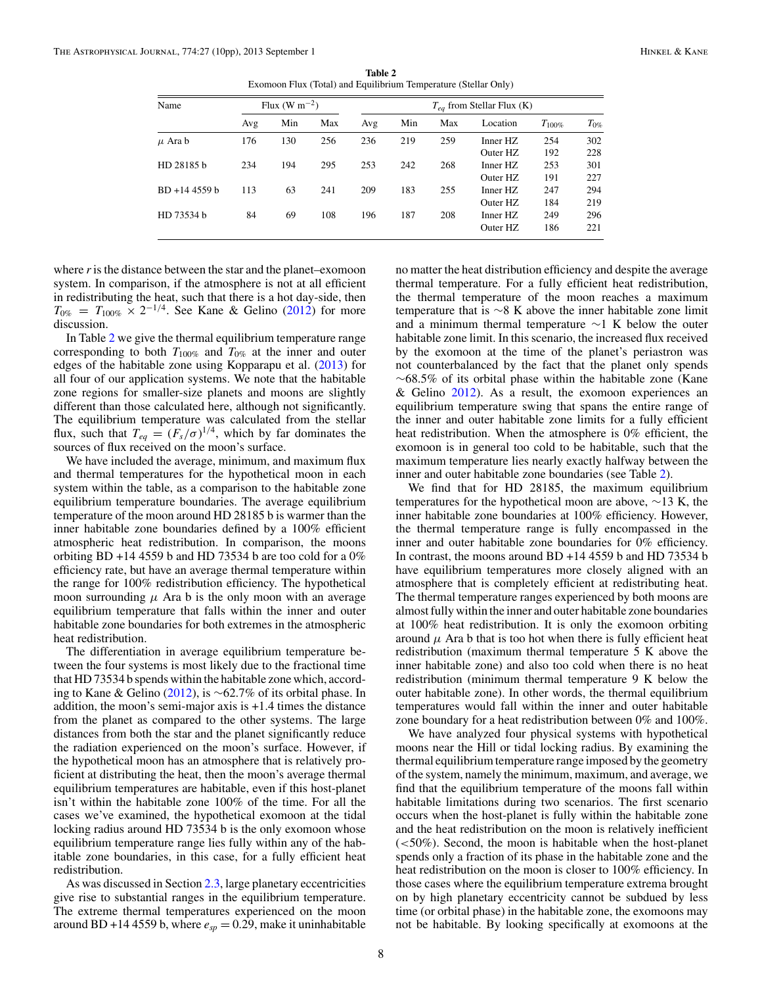**Table 2** Exomoon Flux (Total) and Equilibrium Temperature (Stellar Only)

| Name            | Flux (W m <sup><math>-2</math></sup> ) |     |     | $T_{ea}$ from Stellar Flux (K) |     |     |          |             |           |  |
|-----------------|----------------------------------------|-----|-----|--------------------------------|-----|-----|----------|-------------|-----------|--|
|                 | Avg                                    | Min | Max | Avg                            | Min | Max | Location | $T_{100\%}$ | $T_{0\%}$ |  |
| $\mu$ Ara b     | 176                                    | 130 | 256 | 236                            | 219 | 259 | Inner HZ | 254         | 302       |  |
|                 |                                        |     |     |                                |     |     | Outer HZ | 192         | 228       |  |
| HD 28185 b      | 234                                    | 194 | 295 | 253                            | 242 | 268 | Inner HZ | 253         | 301       |  |
|                 |                                        |     |     |                                |     |     | Outer HZ | 191         | 227       |  |
| $BD + 144559 b$ | 113                                    | 63  | 241 | 209                            | 183 | 255 | Inner HZ | 247         | 294       |  |
|                 |                                        |     |     |                                |     |     | Outer HZ | 184         | 219       |  |
| HD 73534 b      | 84                                     | 69  | 108 | 196                            | 187 | 208 | Inner HZ | 249         | 296       |  |
|                 |                                        |     |     |                                |     |     | Outer HZ | 186         | 221       |  |

where *r*is the distance between the star and the planet–exomoon system. In comparison, if the atmosphere is not at all efficient in redistributing the heat, such that there is a hot day-side, then  $T_{0\%}$  =  $T_{100\%}$  × 2<sup>-1/4</sup>. See Kane & Gelino [\(2012\)](#page-9-0) for more discussion.

In Table 2 we give the thermal equilibrium temperature range corresponding to both  $T_{100\%}$  and  $T_{0\%}$  at the inner and outer edges of the habitable zone using Kopparapu et al. [\(2013\)](#page-9-0) for all four of our application systems. We note that the habitable zone regions for smaller-size planets and moons are slightly different than those calculated here, although not significantly. The equilibrium temperature was calculated from the stellar flux, such that  $T_{eq} = (F_s/\sigma)^{1/4}$ , which by far dominates the sources of flux received on the moon's surface.

We have included the average, minimum, and maximum flux and thermal temperatures for the hypothetical moon in each system within the table, as a comparison to the habitable zone equilibrium temperature boundaries. The average equilibrium temperature of the moon around HD 28185 b is warmer than the inner habitable zone boundaries defined by a 100% efficient atmospheric heat redistribution. In comparison, the moons orbiting BD +14 4559 b and HD 73534 b are too cold for a  $0\%$ efficiency rate, but have an average thermal temperature within the range for 100% redistribution efficiency. The hypothetical moon surrounding  $\mu$  Ara b is the only moon with an average equilibrium temperature that falls within the inner and outer habitable zone boundaries for both extremes in the atmospheric heat redistribution.

The differentiation in average equilibrium temperature between the four systems is most likely due to the fractional time that HD 73534 b spends within the habitable zone which, according to Kane & Gelino [\(2012\)](#page-9-0), is ∼62.7% of its orbital phase. In addition, the moon's semi-major axis is +1.4 times the distance from the planet as compared to the other systems. The large distances from both the star and the planet significantly reduce the radiation experienced on the moon's surface. However, if the hypothetical moon has an atmosphere that is relatively proficient at distributing the heat, then the moon's average thermal equilibrium temperatures are habitable, even if this host-planet isn't within the habitable zone 100% of the time. For all the cases we've examined, the hypothetical exomoon at the tidal locking radius around HD 73534 b is the only exomoon whose equilibrium temperature range lies fully within any of the habitable zone boundaries, in this case, for a fully efficient heat redistribution.

As was discussed in Section [2.3,](#page-2-0) large planetary eccentricities give rise to substantial ranges in the equilibrium temperature. The extreme thermal temperatures experienced on the moon around BD +14 4559 b, where  $e_{sp} = 0.29$ , make it uninhabitable

no matter the heat distribution efficiency and despite the average thermal temperature. For a fully efficient heat redistribution, the thermal temperature of the moon reaches a maximum temperature that is ∼8 K above the inner habitable zone limit and a minimum thermal temperature  $\sim$ 1 K below the outer habitable zone limit. In this scenario, the increased flux received by the exomoon at the time of the planet's periastron was not counterbalanced by the fact that the planet only spends ∼68.5% of its orbital phase within the habitable zone (Kane & Gelino  $2012$ ). As a result, the exomoon experiences an equilibrium temperature swing that spans the entire range of the inner and outer habitable zone limits for a fully efficient heat redistribution. When the atmosphere is 0% efficient, the exomoon is in general too cold to be habitable, such that the maximum temperature lies nearly exactly halfway between the inner and outer habitable zone boundaries (see Table 2).

We find that for HD 28185, the maximum equilibrium temperatures for the hypothetical moon are above, ∼13 K, the inner habitable zone boundaries at 100% efficiency. However, the thermal temperature range is fully encompassed in the inner and outer habitable zone boundaries for 0% efficiency. In contrast, the moons around BD +14 4559 b and HD 73534 b have equilibrium temperatures more closely aligned with an atmosphere that is completely efficient at redistributing heat. The thermal temperature ranges experienced by both moons are almost fully within the inner and outer habitable zone boundaries at 100% heat redistribution. It is only the exomoon orbiting around  $\mu$  Ara b that is too hot when there is fully efficient heat redistribution (maximum thermal temperature 5 K above the inner habitable zone) and also too cold when there is no heat redistribution (minimum thermal temperature 9 K below the outer habitable zone). In other words, the thermal equilibrium temperatures would fall within the inner and outer habitable zone boundary for a heat redistribution between 0% and 100%.

We have analyzed four physical systems with hypothetical moons near the Hill or tidal locking radius. By examining the thermal equilibrium temperature range imposed by the geometry of the system, namely the minimum, maximum, and average, we find that the equilibrium temperature of the moons fall within habitable limitations during two scenarios. The first scenario occurs when the host-planet is fully within the habitable zone and the heat redistribution on the moon is relatively inefficient (*<*50%). Second, the moon is habitable when the host-planet spends only a fraction of its phase in the habitable zone and the heat redistribution on the moon is closer to 100% efficiency. In those cases where the equilibrium temperature extrema brought on by high planetary eccentricity cannot be subdued by less time (or orbital phase) in the habitable zone, the exomoons may not be habitable. By looking specifically at exomoons at the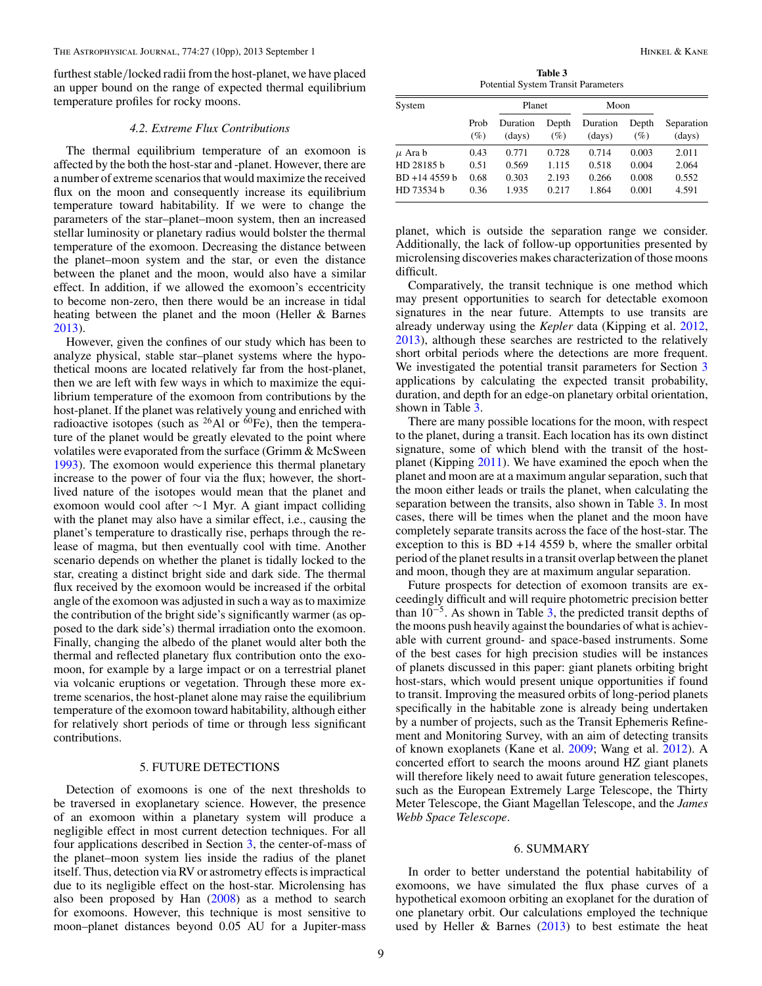<span id="page-8-0"></span>furthest stable*/*locked radii from the host-planet, we have placed an upper bound on the range of expected thermal equilibrium temperature profiles for rocky moons.

#### *4.2. Extreme Flux Contributions*

The thermal equilibrium temperature of an exomoon is affected by the both the host-star and -planet. However, there are a number of extreme scenarios that would maximize the received flux on the moon and consequently increase its equilibrium temperature toward habitability. If we were to change the parameters of the star–planet–moon system, then an increased stellar luminosity or planetary radius would bolster the thermal temperature of the exomoon. Decreasing the distance between the planet–moon system and the star, or even the distance between the planet and the moon, would also have a similar effect. In addition, if we allowed the exomoon's eccentricity to become non-zero, then there would be an increase in tidal heating between the planet and the moon (Heller & Barnes [2013\)](#page-9-0).

However, given the confines of our study which has been to analyze physical, stable star–planet systems where the hypothetical moons are located relatively far from the host-planet, then we are left with few ways in which to maximize the equilibrium temperature of the exomoon from contributions by the host-planet. If the planet was relatively young and enriched with radioactive isotopes (such as  $^{26}$ Al or  $^{60}$ Fe), then the temperature of the planet would be greatly elevated to the point where volatiles were evaporated from the surface (Grimm & McSween [1993\)](#page-9-0). The exomoon would experience this thermal planetary increase to the power of four via the flux; however, the shortlived nature of the isotopes would mean that the planet and exomoon would cool after ∼1 Myr. A giant impact colliding with the planet may also have a similar effect, i.e., causing the planet's temperature to drastically rise, perhaps through the release of magma, but then eventually cool with time. Another scenario depends on whether the planet is tidally locked to the star, creating a distinct bright side and dark side. The thermal flux received by the exomoon would be increased if the orbital angle of the exomoon was adjusted in such a way as to maximize the contribution of the bright side's significantly warmer (as opposed to the dark side's) thermal irradiation onto the exomoon. Finally, changing the albedo of the planet would alter both the thermal and reflected planetary flux contribution onto the exomoon, for example by a large impact or on a terrestrial planet via volcanic eruptions or vegetation. Through these more extreme scenarios, the host-planet alone may raise the equilibrium temperature of the exomoon toward habitability, although either for relatively short periods of time or through less significant contributions.

# 5. FUTURE DETECTIONS

Detection of exomoons is one of the next thresholds to be traversed in exoplanetary science. However, the presence of an exomoon within a planetary system will produce a negligible effect in most current detection techniques. For all four applications described in Section [3,](#page-3-0) the center-of-mass of the planet–moon system lies inside the radius of the planet itself. Thus, detection via RV or astrometry effects is impractical due to its negligible effect on the host-star. Microlensing has also been proposed by Han [\(2008\)](#page-9-0) as a method to search for exomoons. However, this technique is most sensitive to moon–planet distances beyond 0.05 AU for a Jupiter-mass

**Table 3** Potential System Transit Parameters

| System          |             | Planet             |              | Moon               |              |                      |  |
|-----------------|-------------|--------------------|--------------|--------------------|--------------|----------------------|--|
|                 | Prob<br>(%) | Duration<br>(days) | Depth<br>(%) | Duration<br>(days) | Depth<br>(%) | Separation<br>(days) |  |
| $\mu$ Ara b     | 0.43        | 0.771              | 0.728        | 0.714              | 0.003        | 2.011                |  |
| HD 28185 b      | 0.51        | 0.569              | 1.115        | 0.518              | 0.004        | 2.064                |  |
| $BD + 144559 b$ | 0.68        | 0.303              | 2.193        | 0.266              | 0.008        | 0.552                |  |
| HD 73534 b      | 0.36        | 1.935              | 0.217        | 1.864              | 0.001        | 4.591                |  |

planet, which is outside the separation range we consider. Additionally, the lack of follow-up opportunities presented by microlensing discoveries makes characterization of those moons difficult.

Comparatively, the transit technique is one method which may present opportunities to search for detectable exomoon signatures in the near future. Attempts to use transits are already underway using the *Kepler* data (Kipping et al. [2012,](#page-9-0) [2013\)](#page-9-0), although these searches are restricted to the relatively short orbital periods where the detections are more frequent. We investigated the potential transit parameters for Section [3](#page-3-0) applications by calculating the expected transit probability, duration, and depth for an edge-on planetary orbital orientation, shown in Table 3.

There are many possible locations for the moon, with respect to the planet, during a transit. Each location has its own distinct signature, some of which blend with the transit of the hostplanet (Kipping [2011\)](#page-9-0). We have examined the epoch when the planet and moon are at a maximum angular separation, such that the moon either leads or trails the planet, when calculating the separation between the transits, also shown in Table 3. In most cases, there will be times when the planet and the moon have completely separate transits across the face of the host-star. The exception to this is BD +14 4559 b, where the smaller orbital period of the planet results in a transit overlap between the planet and moon, though they are at maximum angular separation.

Future prospects for detection of exomoon transits are exceedingly difficult and will require photometric precision better than  $10^{-5}$ . As shown in Table 3, the predicted transit depths of the moons push heavily against the boundaries of what is achievable with current ground- and space-based instruments. Some of the best cases for high precision studies will be instances of planets discussed in this paper: giant planets orbiting bright host-stars, which would present unique opportunities if found to transit. Improving the measured orbits of long-period planets specifically in the habitable zone is already being undertaken by a number of projects, such as the Transit Ephemeris Refinement and Monitoring Survey, with an aim of detecting transits of known exoplanets (Kane et al. [2009;](#page-9-0) Wang et al. [2012\)](#page-9-0). A concerted effort to search the moons around HZ giant planets will therefore likely need to await future generation telescopes, such as the European Extremely Large Telescope, the Thirty Meter Telescope, the Giant Magellan Telescope, and the *James Webb Space Telescope*.

### 6. SUMMARY

In order to better understand the potential habitability of exomoons, we have simulated the flux phase curves of a hypothetical exomoon orbiting an exoplanet for the duration of one planetary orbit. Our calculations employed the technique used by Heller  $\&$  Barnes [\(2013\)](#page-9-0) to best estimate the heat